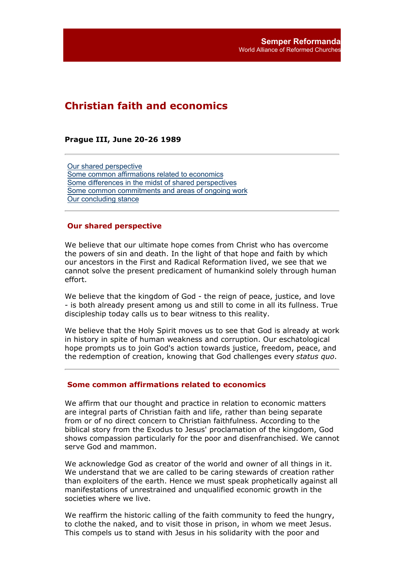# **Christian faith and economics**

**Prague III, June 20-26 1989**

Our shared perspective Some common affirmations related to economics Some differences in the midst of shared perspectives Some common commitments and areas of ongoing work Our concluding stance

## **Our shared perspective**

We believe that our ultimate hope comes from Christ who has overcome the powers of sin and death. In the light of that hope and faith by which our ancestors in the First and Radical Reformation lived, we see that we cannot solve the present predicament of humankind solely through human effort.

We believe that the kingdom of God - the reign of peace, justice, and love - is both already present among us and still to come in all its fullness. True discipleship today calls us to bear witness to this reality.

We believe that the Holy Spirit moves us to see that God is already at work in history in spite of human weakness and corruption. Our eschatological hope prompts us to join God's action towards justice, freedom, peace, and the redemption of creation, knowing that God challenges every *status quo*.

#### **Some common affirmations related to economics**

We affirm that our thought and practice in relation to economic matters are integral parts of Christian faith and life, rather than being separate from or of no direct concern to Christian faithfulness. According to the biblical story from the Exodus to Jesus' proclamation of the kingdom, God shows compassion particularly for the poor and disenfranchised. We cannot serve God and mammon.

We acknowledge God as creator of the world and owner of all things in it. We understand that we are called to be caring stewards of creation rather than exploiters of the earth. Hence we must speak prophetically against all manifestations of unrestrained and unqualified economic growth in the societies where we live.

We reaffirm the historic calling of the faith community to feed the hungry, to clothe the naked, and to visit those in prison, in whom we meet Jesus. This compels us to stand with Jesus in his solidarity with the poor and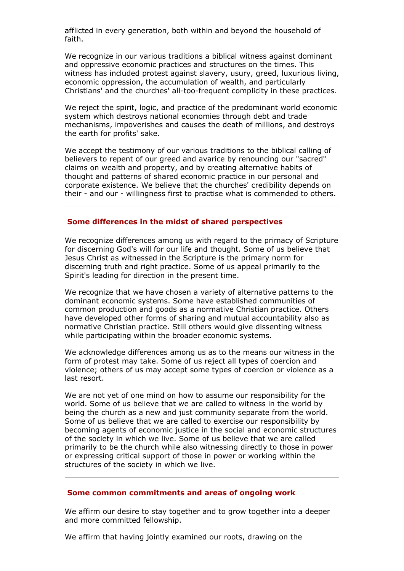afflicted in every generation, both within and beyond the household of faith.

We recognize in our various traditions a biblical witness against dominant and oppressive economic practices and structures on the times. This witness has included protest against slavery, usury, greed, luxurious living, economic oppression, the accumulation of wealth, and particularly Christians' and the churches' all-too-frequent complicity in these practices.

We reject the spirit, logic, and practice of the predominant world economic system which destroys national economies through debt and trade mechanisms, impoverishes and causes the death of millions, and destroys the earth for profits' sake.

We accept the testimony of our various traditions to the biblical calling of believers to repent of our greed and avarice by renouncing our "sacred" claims on wealth and property, and by creating alternative habits of thought and patterns of shared economic practice in our personal and corporate existence. We believe that the churches' credibility depends on their - and our - willingness first to practise what is commended to others.

## **Some differences in the midst of shared perspectives**

We recognize differences among us with regard to the primacy of Scripture for discerning God's will for our life and thought. Some of us believe that Jesus Christ as witnessed in the Scripture is the primary norm for discerning truth and right practice. Some of us appeal primarily to the Spirit's leading for direction in the present time.

We recognize that we have chosen a variety of alternative patterns to the dominant economic systems. Some have established communities of common production and goods as a normative Christian practice. Others have developed other forms of sharing and mutual accountability also as normative Christian practice. Still others would give dissenting witness while participating within the broader economic systems.

We acknowledge differences among us as to the means our witness in the form of protest may take. Some of us reject all types of coercion and violence; others of us may accept some types of coercion or violence as a last resort.

We are not yet of one mind on how to assume our responsibility for the world. Some of us believe that we are called to witness in the world by being the church as a new and just community separate from the world. Some of us believe that we are called to exercise our responsibility by becoming agents of economic justice in the social and economic structures of the society in which we live. Some of us believe that we are called primarily to be the church while also witnessing directly to those in power or expressing critical support of those in power or working within the structures of the society in which we live.

## **Some common commitments and areas of ongoing work**

We affirm our desire to stay together and to grow together into a deeper and more committed fellowship.

We affirm that having jointly examined our roots, drawing on the